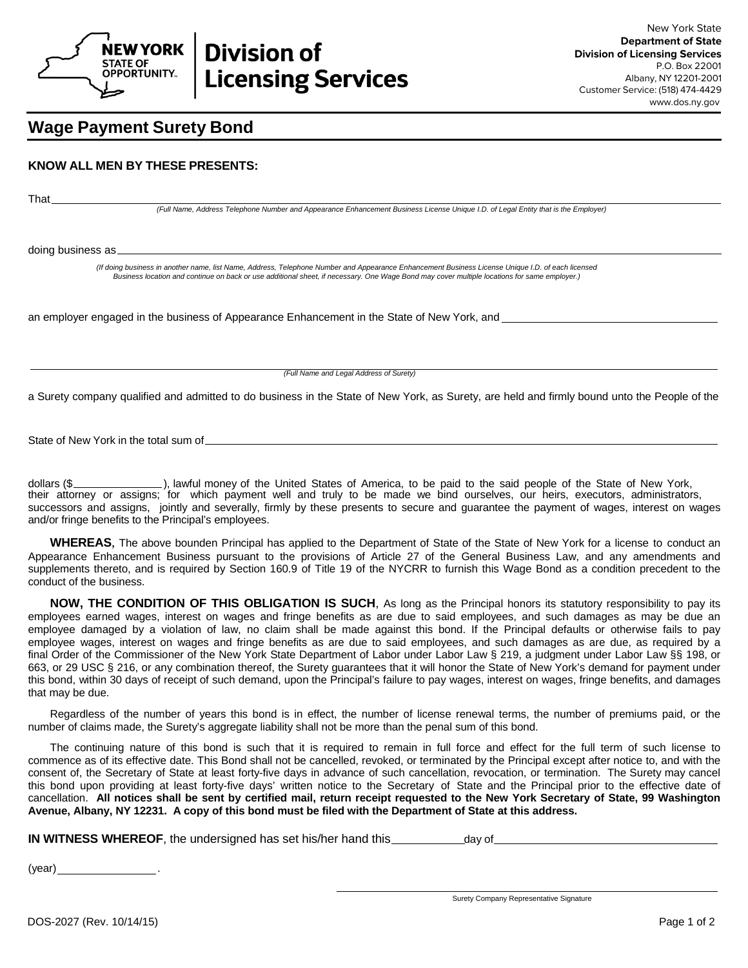

## **Wage Payment Surety Bond**

## **KNOW ALL MEN BY THESE PRESENTS:**

That

*(Full Name, Address Telephone Number and Appearance Enhancement Business License Unique I.D. of Legal Entity that is the Employer)*

doing business as

*(If doing business in another name, list Name, Address, Telephone Number and Appearance Enhancement Business License Unique I.D. of each licensed Business location and continue on back or use additional sheet, if necessary. One Wage Bond may cover multiple locations for same employer.)* 

an employer engaged in the business of Appearance Enhancement in the State of New York, and example and the state of New York, and the State of New York, and the State of New York, and the State of New York, and the State

*(Full Name and Legal Address of Surety)*

a Surety company qualified and admitted to do business in the State of New York, as Surety, are held and firmly bound unto the People of the

State of New York in the total sum of

dollars (\$\_\_\_\_\_\_\_\_\_\_\_\_\_\_\_\_), lawful money of the United States of America, to be paid to the said people of the State of New York, their attorney or assigns; for which payment well and truly to be made we bind ourselves, our heirs, executors, administrators, successors and assigns, jointly and severally, firmly by these presents to secure and guarantee the payment of wages, interest on wages and/or fringe benefits to the Principal's employees.

**WHEREAS**, The above bounden Principal has applied to the Department of State of the State of New York for a license to conduct an Appearance Enhancement Business pursuant to the provisions of Article 27 of the General Business Law, and any amendments and supplements thereto, and is required by Section 160.9 of Title 19 of the NYCRR to furnish this Wage Bond as a condition precedent to the conduct of the business.

**NOW, THE CONDITION OF THIS OBLIGATION IS SUCH**, As long as the Principal honors its statutory responsibility to pay its employees earned wages, interest on wages and fringe benefits as are due to said employees, and such damages as may be due an employee damaged by a violation of law, no claim shall be made against this bond. If the Principal defaults or otherwise fails to pay employee wages, interest on wages and fringe benefits as are due to said employees, and such damages as are due, as required by a final Order of the Commissioner of the New York State Department of Labor under Labor Law § 219, a judgment under Labor Law §§ 198, or 663, or 29 USC § 216, or any combination thereof, the Surety guarantees that it will honor the State of New York's demand for payment under this bond, within 30 days of receipt of such demand, upon the Principal's failure to pay wages, interest on wages, fringe benefits, and damages that may be due.

Regardless of the number of years this bond is in effect, the number of license renewal terms, the number of premiums paid, or the number of claims made, the Surety's aggregate liability shall not be more than the penal sum of this bond.

The continuing nature of this bond is such that it is required to remain in full force and effect for the full term of such license to commence as of its effective date. This Bond shall not be cancelled, revoked, or terminated by the Principal except after notice to, and with the consent of, the Secretary of State at least forty-five days in advance of such cancellation, revocation, or termination. The Surety may cancel this bond upon providing at least forty-five days' written notice to the Secretary of State and the Principal prior to the effective date of cancellation. **All notices shall be sent by certified mail, return receipt requested to the New York Secretary of State, 99 Washington Avenue, Albany, NY 12231. A copy of this bond must be filed with the Department of State at this address.** 

**IN WITNESS WHEREOF**, the undersigned has set his/her hand this <u>setimal</u> av of

(year) .